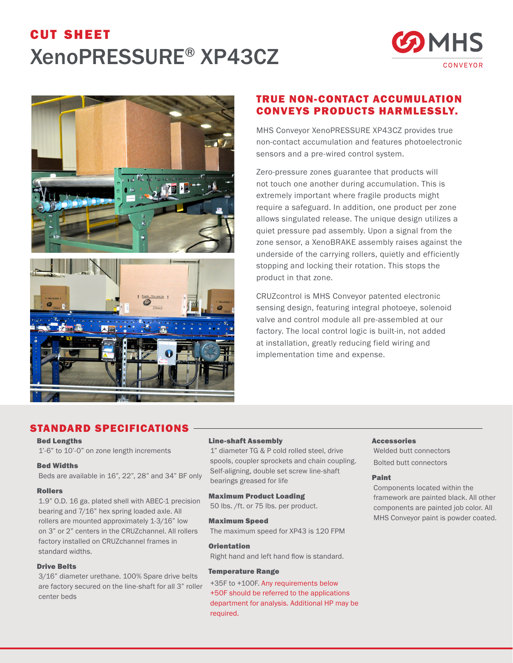# cut sheet XenoPRESSURE® XP43CZ







# TRUE NON-CONTACT ACCUMULATION CONVEYS PRODUCTS HARMLESSLY.

MHS Conveyor XenoPRESSURE XP43CZ provides true non-contact accumulation and features photoelectronic sensors and a pre-wired control system.

Zero-pressure zones guarantee that products will not touch one another during accumulation. This is extremely important where fragile products might require a safeguard. In addition, one product per zone allows singulated release. The unique design utilizes a quiet pressure pad assembly. Upon a signal from the zone sensor, a XenoBRAKE assembly raises against the underside of the carrying rollers, quietly and efficiently stopping and locking their rotation. This stops the product in that zone.

CRUZcontrol is MHS Conveyor patented electronic sensing design, featuring integral photoeye, solenoid valve and control module all pre-assembled at our factory. The local control logic is built-in, not added at installation, greatly reducing field wiring and implementation time and expense.

# STANDARD SPECIFICATIONS

## Bed Lengths

1'-6" to 10'-0" on zone length increments

#### Bed Widths

Beds are available in 16", 22", 28" and 34" BF only

#### Rollers

1.9" O.D. 16 ga. plated shell with ABEC-1 precision bearing and 7/16" hex spring loaded axle. All rollers are mounted approximately 1-3/16" low on 3" or 2" centers in the CRUZchannel. All rollers factory installed on CRUZchannel frames in standard widths.

### Drive Belts

3/16" diameter urethane. 100% Spare drive belts are factory secured on the line-shaft for all 3" roller center beds

#### Line-shaft Assembly

1" diameter TG & P cold rolled steel, drive spools, coupler sprockets and chain coupling. Self-aligning, double set screw line-shaft bearings greased for life

### Maximum Product Loading

50 lbs. /ft. or 75 lbs. per product.

#### Maximum Speed

The maximum speed for XP43 is 120 FPM

#### **Orientation**

Right hand and left hand flow is standard.

#### Temperature Range

+35F to +100F. Any requirements below +50F should be referred to the applications department for analysis. Additional HP may be required.

#### **Accessories**

Welded butt connectors Bolted butt connectors

#### Paint

Components located within the framework are painted black. All other components are painted job color. All MHS Conveyor paint is powder coated.